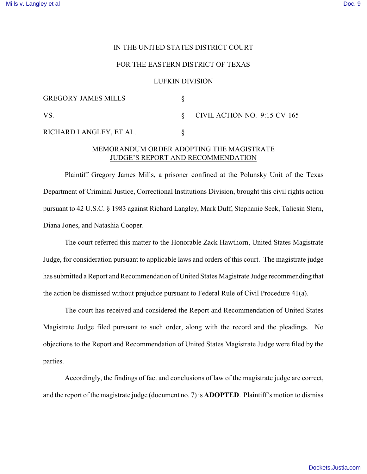## IN THE UNITED STATES DISTRICT COURT

## FOR THE EASTERN DISTRICT OF TEXAS

## LUFKIN DIVISION

| <b>GREGORY JAMES MILLS</b> |                                   |
|----------------------------|-----------------------------------|
| VS.                        | $\S$ CIVIL ACTION NO. 9:15-CV-165 |
| RICHARD LANGLEY, ET AL.    |                                   |

## MEMORANDUM ORDER ADOPTING THE MAGISTRATE JUDGE'S REPORT AND RECOMMENDATION

Plaintiff Gregory James Mills, a prisoner confined at the Polunsky Unit of the Texas Department of Criminal Justice, Correctional Institutions Division, brought this civil rights action pursuant to 42 U.S.C. § 1983 against Richard Langley, Mark Duff, Stephanie Seek, Taliesin Stern, Diana Jones, and Natashia Cooper.

The court referred this matter to the Honorable Zack Hawthorn, United States Magistrate Judge, for consideration pursuant to applicable laws and orders of this court. The magistrate judge has submitted a Report and Recommendation of United States Magistrate Judge recommending that the action be dismissed without prejudice pursuant to Federal Rule of Civil Procedure 41(a).

The court has received and considered the Report and Recommendation of United States Magistrate Judge filed pursuant to such order, along with the record and the pleadings. No objections to the Report and Recommendation of United States Magistrate Judge were filed by the parties.

Accordingly, the findings of fact and conclusions of law of the magistrate judge are correct, and the report of the magistrate judge (document no. 7) is **ADOPTED**. Plaintiff's motion to dismiss